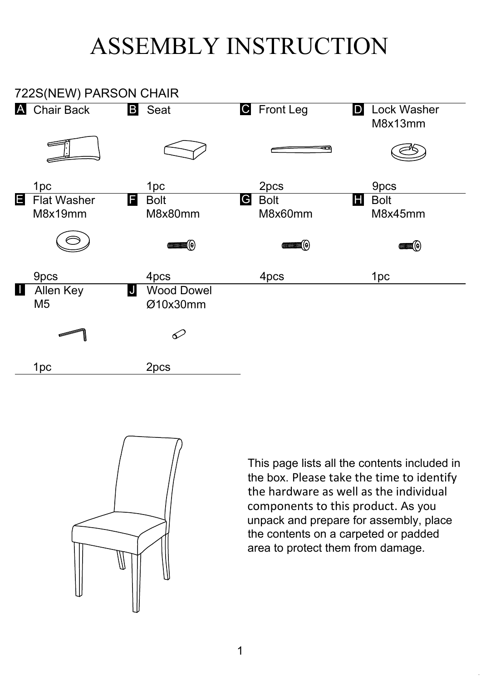## ASSEMBLY INSTRUCTION





This page lists all the contents included in the box. Please take the time to identify the hardware as well as the individual components to this product. As you unpack and prepare for assembly, place the contents on a carpeted or padded area to protect them from damage.